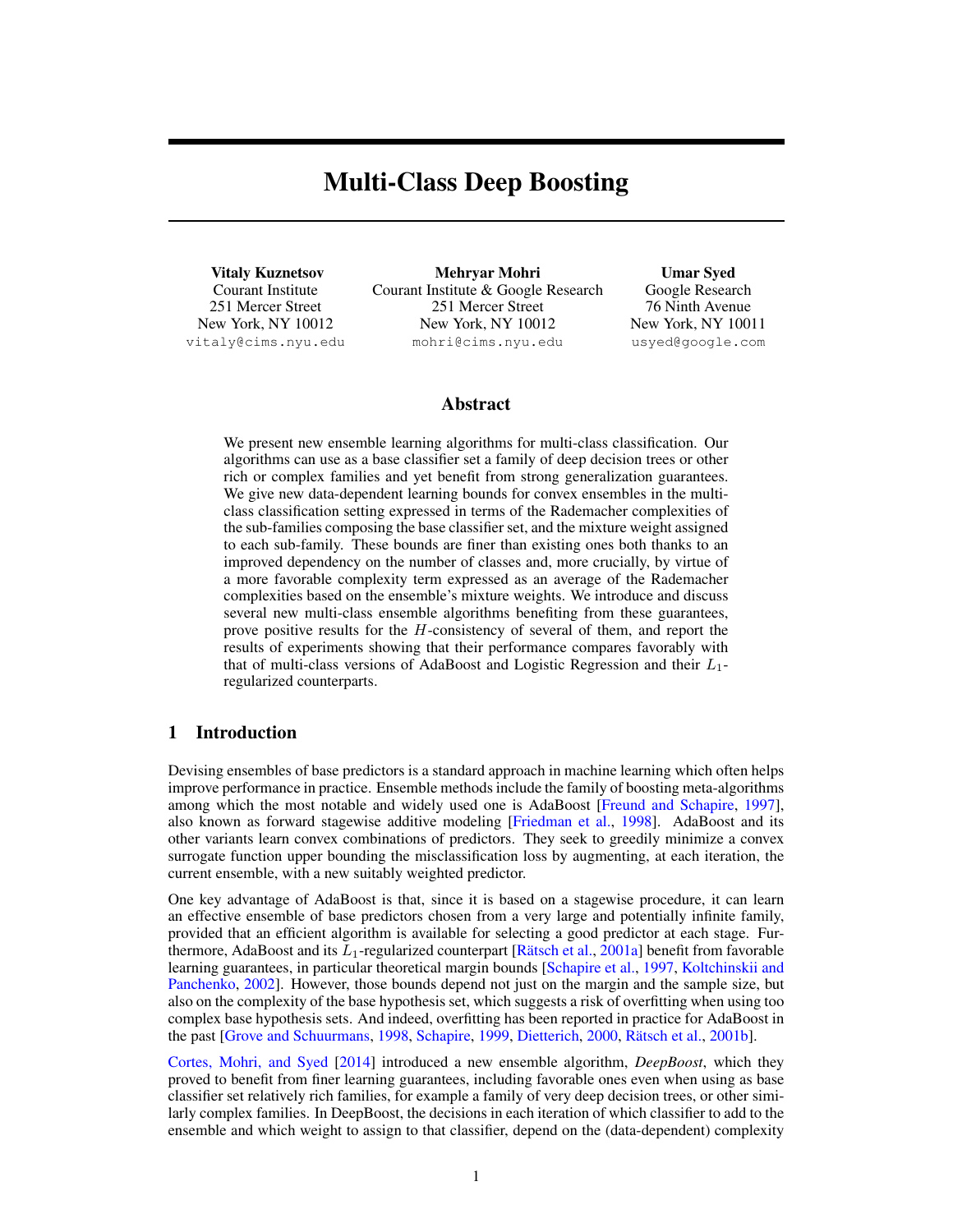# Multi-Class Deep Boosting

Vitaly Kuznetsov Courant Institute 251 Mercer Street New York, NY 10012 vitaly@cims.nyu.edu

Mehryar Mohri Courant Institute & Google Research 251 Mercer Street New York, NY 10012 mohri@cims.nyu.edu

Umar Syed Google Research 76 Ninth Avenue New York, NY 10011 usyed@google.com

## Abstract

We present new ensemble learning algorithms for multi-class classification. Our algorithms can use as a base classifier set a family of deep decision trees or other rich or complex families and yet benefit from strong generalization guarantees. We give new data-dependent learning bounds for convex ensembles in the multiclass classification setting expressed in terms of the Rademacher complexities of the sub-families composing the base classifier set, and the mixture weight assigned to each sub-family. These bounds are finer than existing ones both thanks to an improved dependency on the number of classes and, more crucially, by virtue of a more favorable complexity term expressed as an average of the Rademacher complexities based on the ensemble's mixture weights. We introduce and discuss several new multi-class ensemble algorithms benefiting from these guarantees, prove positive results for the H-consistency of several of them, and report the results of experiments showing that their performance compares favorably with that of multi-class versions of AdaBoost and Logistic Regression and their  $L_1$ regularized counterparts.

# 1 Introduction

Devising ensembles of base predictors is a standard approach in machine learning which often helps improve performance in practice. Ensemble methods include the family of boosting meta-algorithms among which the most notable and widely used one is AdaBoost [\[Freund and Schapire,](#page-8-0) [1997\]](#page-8-0), also known as forward stagewise additive modeling [\[Friedman et al.,](#page-8-1) [1998\]](#page-8-1). AdaBoost and its other variants learn convex combinations of predictors. They seek to greedily minimize a convex surrogate function upper bounding the misclassification loss by augmenting, at each iteration, the current ensemble, with a new suitably weighted predictor.

One key advantage of AdaBoost is that, since it is based on a stagewise procedure, it can learn an effective ensemble of base predictors chosen from a very large and potentially infinite family, provided that an efficient algorithm is available for selecting a good predictor at each stage. Furthermore, AdaBoost and its  $L_1$ -regularized counterpart [Rätsch et al., [2001a\]](#page-8-2) benefit from favorable learning guarantees, in particular theoretical margin bounds [\[Schapire et al.,](#page-8-3) [1997,](#page-8-3) [Koltchinskii and](#page-8-4) [Panchenko,](#page-8-4) [2002\]](#page-8-4). However, those bounds depend not just on the margin and the sample size, but also on the complexity of the base hypothesis set, which suggests a risk of overfitting when using too complex base hypothesis sets. And indeed, overfitting has been reported in practice for AdaBoost in the past [\[Grove and Schuurmans,](#page-8-5) [1998,](#page-8-5) [Schapire,](#page-8-6) [1999,](#page-8-6) [Dietterich,](#page-8-7) [2000,](#page-8-7) Rätsch et al., [2001b\]](#page-8-8).

[Cortes, Mohri, and Syed](#page-8-9) [\[2014\]](#page-8-9) introduced a new ensemble algorithm, *DeepBoost*, which they proved to benefit from finer learning guarantees, including favorable ones even when using as base classifier set relatively rich families, for example a family of very deep decision trees, or other similarly complex families. In DeepBoost, the decisions in each iteration of which classifier to add to the ensemble and which weight to assign to that classifier, depend on the (data-dependent) complexity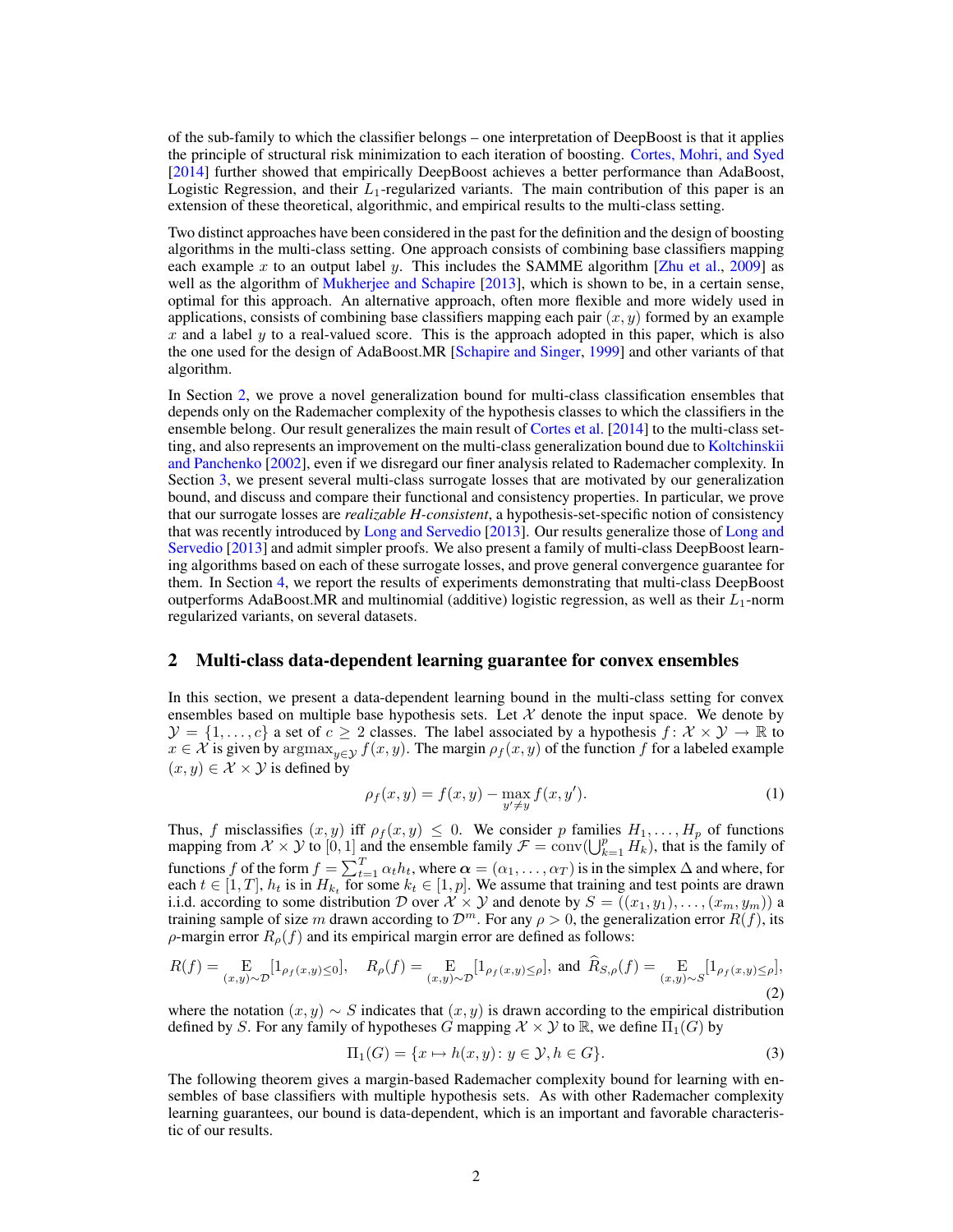of the sub-family to which the classifier belongs – one interpretation of DeepBoost is that it applies the principle of structural risk minimization to each iteration of boosting. [Cortes, Mohri, and Syed](#page-8-9) [\[2014\]](#page-8-9) further showed that empirically DeepBoost achieves a better performance than AdaBoost, Logistic Regression, and their  $L_1$ -regularized variants. The main contribution of this paper is an extension of these theoretical, algorithmic, and empirical results to the multi-class setting.

Two distinct approaches have been considered in the past for the definition and the design of boosting algorithms in the multi-class setting. One approach consists of combining base classifiers mapping each example x to an output label y. This includes the SAMME algorithm [\[Zhu et al.,](#page-8-10) [2009\]](#page-8-10) as well as the algorithm of [Mukherjee and Schapire](#page-8-11) [\[2013\]](#page-8-11), which is shown to be, in a certain sense, optimal for this approach. An alternative approach, often more flexible and more widely used in applications, consists of combining base classifiers mapping each pair  $(x, y)$  formed by an example  $x$  and a label  $y$  to a real-valued score. This is the approach adopted in this paper, which is also the one used for the design of AdaBoost.MR [\[Schapire and Singer,](#page-8-12) [1999\]](#page-8-12) and other variants of that algorithm.

In Section [2,](#page-1-0) we prove a novel generalization bound for multi-class classification ensembles that depends only on the Rademacher complexity of the hypothesis classes to which the classifiers in the ensemble belong. Our result generalizes the main result of [Cortes et al.](#page-8-9) [\[2014\]](#page-8-9) to the multi-class setting, and also represents an improvement on the multi-class generalization bound due to [Koltchinskii](#page-8-4) [and Panchenko](#page-8-4) [\[2002\]](#page-8-4), even if we disregard our finer analysis related to Rademacher complexity. In Section [3,](#page-2-0) we present several multi-class surrogate losses that are motivated by our generalization bound, and discuss and compare their functional and consistency properties. In particular, we prove that our surrogate losses are *realizable H-consistent*, a hypothesis-set-specific notion of consistency that was recently introduced by [Long and Servedio](#page-8-13) [\[2013\]](#page-8-13). Our results generalize those of [Long and](#page-8-13) [Servedio](#page-8-13) [\[2013\]](#page-8-13) and admit simpler proofs. We also present a family of multi-class DeepBoost learning algorithms based on each of these surrogate losses, and prove general convergence guarantee for them. In Section [4,](#page-6-0) we report the results of experiments demonstrating that multi-class DeepBoost outperforms AdaBoost.MR and multinomial (additive) logistic regression, as well as their  $L_1$ -norm regularized variants, on several datasets.

## <span id="page-1-0"></span>2 Multi-class data-dependent learning guarantee for convex ensembles

In this section, we present a data-dependent learning bound in the multi-class setting for convex ensembles based on multiple base hypothesis sets. Let  $X$  denote the input space. We denote by  $\mathcal{Y} = \{1, \ldots, c\}$  a set of  $c \geq 2$  classes. The label associated by a hypothesis  $f: \mathcal{X} \times \mathcal{Y} \to \mathbb{R}$  to  $x \in \mathcal{X}$  is given by  $\argmax_{y \in \mathcal{Y}} f(x, y)$ . The margin  $\rho_f(x, y)$  of the function f for a labeled example  $(x, y) \in \mathcal{X} \times \mathcal{Y}$  is defined by

$$
\rho_f(x, y) = f(x, y) - \max_{y' \neq y} f(x, y').
$$
 (1)

Thus, f misclassifies  $(x, y)$  iff  $\rho_f(x, y) \leq 0$ . We consider p families  $H_1, \ldots, H_p$  of functions mapping from  $\mathcal{X} \times \mathcal{Y}$  to  $[0, 1]$  and the ensemble family  $\mathcal{F} = \text{conv}(\bigcup_{k=1}^p H_k)$ , that is the family of functions f of the form  $f = \sum_{t=1}^{T} \alpha_t h_t$ , where  $\alpha = (\alpha_1, \dots, \alpha_T)$  is in the simplex  $\Delta$  and where, for each  $t \in [1, T]$ ,  $h_t$  is in  $H_{k_t}$  for some  $k_t \in [1, p]$ . We assume that training and test points are drawn i.i.d. according to some distribution D over  $\mathcal{X} \times \mathcal{Y}$  and denote by  $S = ((x_1, y_1), \dots, (x_m, y_m))$  a training sample of size m drawn according to  $\mathcal{D}^m$ . For any  $\rho > 0$ , the generalization error  $R(f)$ , its  $\rho$ -margin error  $R_{\rho}(f)$  and its empirical margin error are defined as follows:

$$
R(f) = \underset{(x,y)\sim \mathcal{D}}{\mathrm{E}}[1_{\rho_f(x,y)\leq 0}], \quad R_{\rho}(f) = \underset{(x,y)\sim \mathcal{D}}{\mathrm{E}}[1_{\rho_f(x,y)\leq \rho}], \text{ and } R_{S,\rho}(f) = \underset{(x,y)\sim S}{\mathrm{E}}[1_{\rho_f(x,y)\leq \rho}],
$$
\n(2)

where the notation  $(x, y) \sim S$  indicates that  $(x, y)$  is drawn according to the empirical distribution defined by S. For any family of hypotheses G mapping  $\mathcal{X} \times \mathcal{Y}$  to  $\mathbb{R}$ , we define  $\Pi_1(G)$  by

$$
\Pi_1(G) = \{x \mapsto h(x, y) \colon y \in \mathcal{Y}, h \in G\}.
$$
\n<sup>(3)</sup>

The following theorem gives a margin-based Rademacher complexity bound for learning with ensembles of base classifiers with multiple hypothesis sets. As with other Rademacher complexity learning guarantees, our bound is data-dependent, which is an important and favorable characteristic of our results.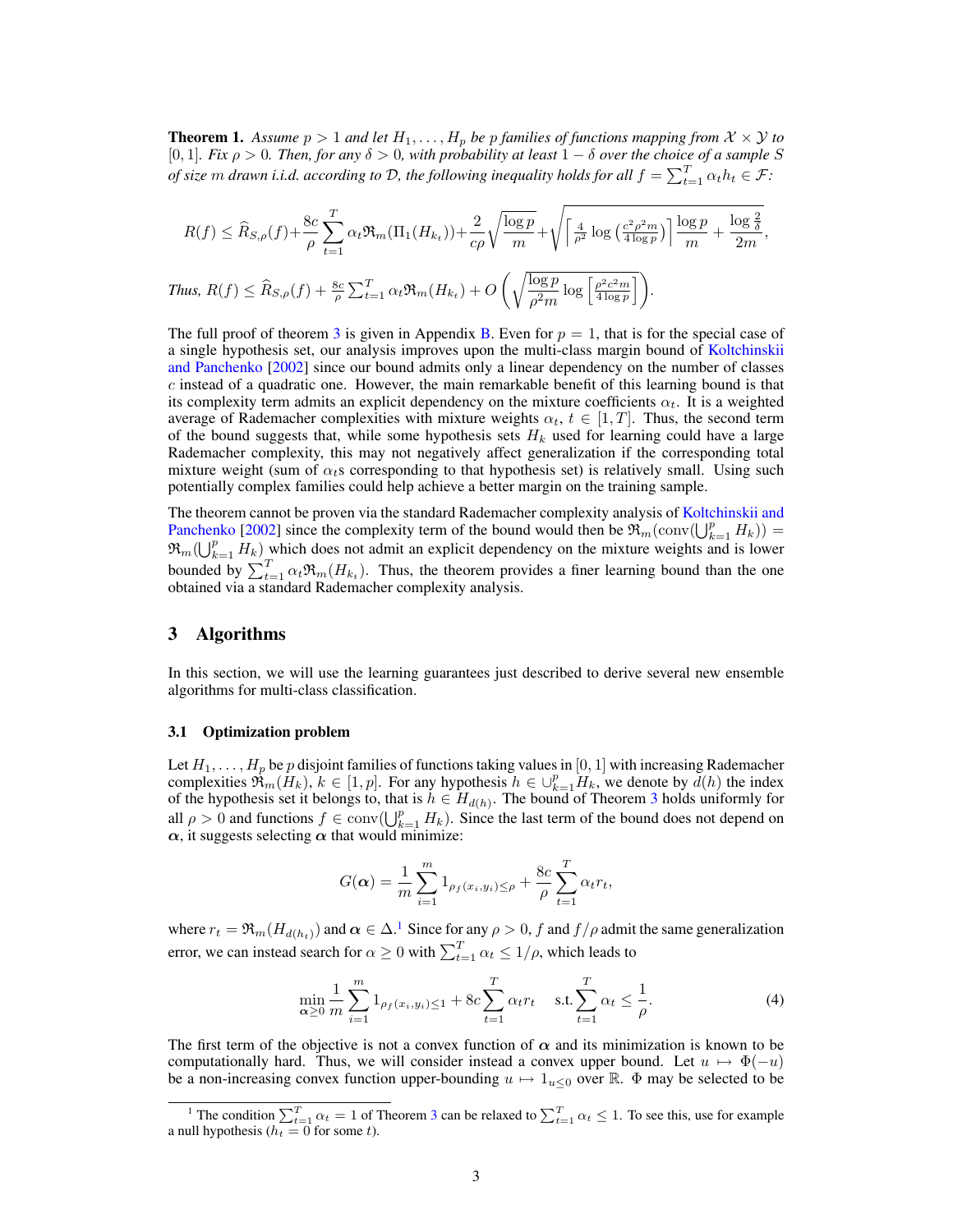**Theorem 1.** Assume  $p > 1$  and let  $H_1, \ldots, H_p$  be p families of functions mapping from  $\mathcal{X} \times \mathcal{Y}$  to [0, 1]*. Fix* ρ > 0*. Then, for any* δ > 0*, with probability at least* 1 − δ *over the choice of a sample* S *of size*  $m$  *drawn i.i.d. according to*  $D$ *, the following inequality holds for all*  $f = \sum_{t=1}^{T} \alpha_t h_t \in \mathcal{F}$ :

$$
R(f) \leq \widehat{R}_{S,\rho}(f) + \frac{8c}{\rho} \sum_{t=1}^{T} \alpha_t \Re_m(\Pi_1(H_{k_t})) + \frac{2}{c\rho} \sqrt{\frac{\log p}{m}} + \sqrt{\left[\frac{4}{\rho^2} \log\left(\frac{c^2 \rho^2 m}{4 \log p}\right)\right] \frac{\log p}{m} + \frac{\log \frac{2}{\delta}}{2m}},
$$
  
Thus,  $R(f) \leq \widehat{R}_{S,\rho}(f) + \frac{8c}{\rho} \sum_{t=1}^{T} \alpha_t \Re_m(H_{k_t}) + O\left(\sqrt{\frac{\log p}{\rho^2 m} \log\left[\frac{\rho^2 c^2 m}{4 \log p}\right]}\right).$ 

The full proof of theorem [3](#page--1-0) is given in Appendix [B.](#page--1-1) Even for  $p = 1$ , that is for the special case of a single hypothesis set, our analysis improves upon the multi-class margin bound of [Koltchinskii](#page-8-4) [and Panchenko](#page-8-4) [\[2002\]](#page-8-4) since our bound admits only a linear dependency on the number of classes  $c$  instead of a quadratic one. However, the main remarkable benefit of this learning bound is that its complexity term admits an explicit dependency on the mixture coefficients  $\alpha_t$ . It is a weighted average of Rademacher complexities with mixture weights  $\alpha_t$ ,  $t \in [1, T]$ . Thus, the second term of the bound suggests that, while some hypothesis sets  $H_k$  used for learning could have a large Rademacher complexity, this may not negatively affect generalization if the corresponding total mixture weight (sum of  $\alpha_t$ s corresponding to that hypothesis set) is relatively small. Using such potentially complex families could help achieve a better margin on the training sample.

The theorem cannot be proven via the standard Rademacher complexity analysis of [Koltchinskii and](#page-8-4) [Panchenko](#page-8-4) [\[2002\]](#page-8-4) since the complexity term of the bound would then be  $\mathfrak{R}_{m}(\text{conv}(\bigcup_{k=1}^{p} H_{k}))$  =  $\mathfrak{R}_m(\bigcup_{k=1}^p H_k)$  which does not admit an explicit dependency on the mixture weights and is lower bounded by  $\sum_{t=1}^{T} \alpha_t \Re_m(H_{k_t})$ . Thus, the theorem provides a finer learning bound than the one obtained via a standard Rademacher complexity analysis.

# <span id="page-2-0"></span>3 Algorithms

In this section, we will use the learning guarantees just described to derive several new ensemble algorithms for multi-class classification.

## 3.1 Optimization problem

Let  $H_1, \ldots, H_p$  be p disjoint families of functions taking values in [0, 1] with increasing Rademacher complexities  $\mathfrak{R}_m(H_k)$ ,  $k \in [1, p]$ . For any hypothesis  $h \in \bigcup_{k=1}^p H_k$ , we denote by  $d(h)$  the index of the hypothesis set it belongs to, that is  $h \in H_{d(h)}$ . The bound of Theorem [3](#page--1-0) holds uniformly for all  $\rho > 0$  and functions  $f \in \text{conv}(\bigcup_{k=1}^p H_k)$ . Since the last term of the bound does not depend on  $\alpha$ , it suggests selecting  $\alpha$  that would minimize:

<span id="page-2-2"></span>
$$
G(\alpha) = \frac{1}{m} \sum_{i=1}^{m} 1_{\rho_f(x_i, y_i) \le \rho} + \frac{8c}{\rho} \sum_{t=1}^{T} \alpha_t r_t,
$$

where  $r_t = \Re_m(H_{d(h_t)})$  and  $\alpha \in \Delta$ .<sup>[1](#page-2-1)</sup> Since for any  $\rho > 0$ , f and  $f/\rho$  admit the same generalization error, we can instead search for  $\alpha \geq 0$  with  $\sum_{t=1}^{T} \alpha_t \leq 1/\rho$ , which leads to

$$
\min_{\alpha \ge 0} \frac{1}{m} \sum_{i=1}^{m} 1_{\rho_f(x_i, y_i) \le 1} + 8c \sum_{t=1}^{T} \alpha_t r_t \quad \text{s.t.} \sum_{t=1}^{T} \alpha_t \le \frac{1}{\rho}.
$$
 (4)

The first term of the objective is not a convex function of  $\alpha$  and its minimization is known to be computationally hard. Thus, we will consider instead a convex upper bound. Let  $u \mapsto \Phi(-u)$ be a non-increasing convex function upper-bounding  $u \mapsto 1_{u\leq 0}$  over R.  $\Phi$  may be selected to be

<span id="page-2-1"></span><sup>&</sup>lt;sup>1</sup> The condition  $\sum_{t=1}^{T} \alpha_t = 1$  of Theorem [3](#page--1-0) can be relaxed to  $\sum_{t=1}^{T} \alpha_t \le 1$ . To see this, use for example a null hypothesis ( $h_t = 0$  for some t).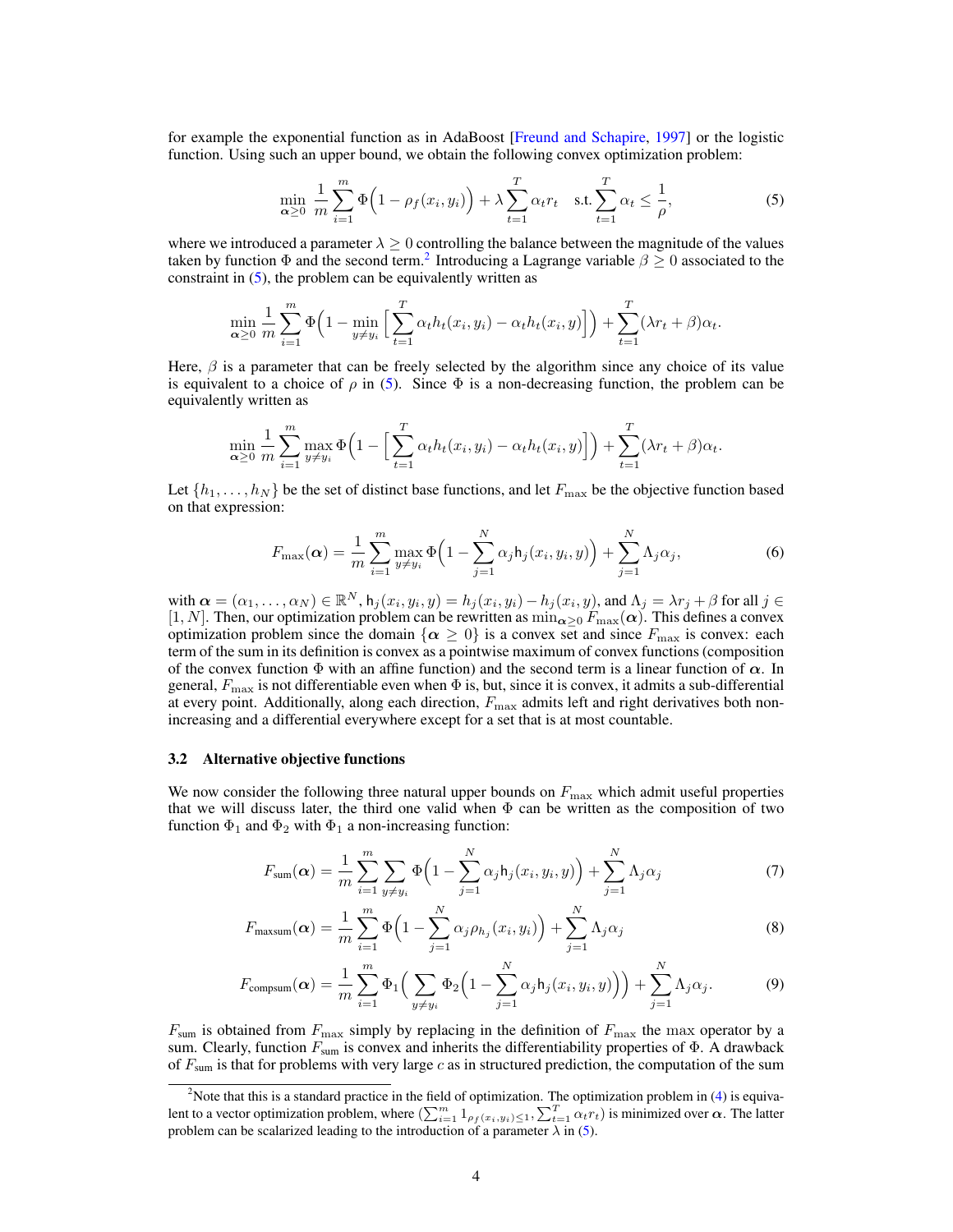for example the exponential function as in AdaBoost [\[Freund and Schapire,](#page-8-0) [1997\]](#page-8-0) or the logistic function. Using such an upper bound, we obtain the following convex optimization problem:

<span id="page-3-1"></span>
$$
\min_{\alpha \ge 0} \frac{1}{m} \sum_{i=1}^{m} \Phi\left(1 - \rho_f(x_i, y_i)\right) + \lambda \sum_{t=1}^{T} \alpha_t r_t \quad \text{s.t.} \sum_{t=1}^{T} \alpha_t \le \frac{1}{\rho},\tag{5}
$$

where we introduced a parameter  $\lambda \geq 0$  controlling the balance between the magnitude of the values taken by function  $\Phi$  and the second term.<sup>[2](#page-3-0)</sup> Introducing a Lagrange variable  $\beta \geq 0$  associated to the constraint in [\(5\)](#page-3-1), the problem can be equivalently written as

$$
\min_{\alpha \geq 0} \frac{1}{m} \sum_{i=1}^m \Phi\Big(1 - \min_{y \neq y_i} \Big[ \sum_{t=1}^T \alpha_t h_t(x_i, y_i) - \alpha_t h_t(x_i, y) \Big] \Big) + \sum_{t=1}^T (\lambda r_t + \beta) \alpha_t.
$$

Here,  $\beta$  is a parameter that can be freely selected by the algorithm since any choice of its value is equivalent to a choice of  $\rho$  in [\(5\)](#page-3-1). Since  $\Phi$  is a non-decreasing function, the problem can be equivalently written as

$$
\min_{\alpha \geq 0} \frac{1}{m} \sum_{i=1}^m \max_{y \neq y_i} \Phi\Big(1 - \Big[\sum_{t=1}^T \alpha_t h_t(x_i, y_i) - \alpha_t h_t(x_i, y)\Big]\Big) + \sum_{t=1}^T (\lambda r_t + \beta) \alpha_t.
$$

Let  $\{h_1, \ldots, h_N\}$  be the set of distinct base functions, and let  $F_{\text{max}}$  be the objective function based on that expression:

$$
F_{\max}(\boldsymbol{\alpha}) = \frac{1}{m} \sum_{i=1}^{m} \max_{y \neq y_i} \Phi\left(1 - \sum_{j=1}^{N} \alpha_j h_j(x_i, y_i, y)\right) + \sum_{j=1}^{N} \Lambda_j \alpha_j,
$$
\n(6)

with  $\alpha = (\alpha_1, \dots, \alpha_N) \in \mathbb{R}^N$ ,  $h_j(x_i, y_i, y) = h_j(x_i, y_i) - h_j(x_i, y)$ , and  $\Lambda_j = \lambda r_j + \beta$  for all  $j \in$ [1, N]. Then, our optimization problem can be rewritten as  $\min_{\alpha \geq 0} F_{\max}(\alpha)$ . This defines a convex optimization problem since the domain  $\{\alpha \geq 0\}$  is a convex set and since  $F_{\text{max}}$  is convex: each term of the sum in its definition is convex as a pointwise maximum of convex functions (composition of the convex function  $\Phi$  with an affine function) and the second term is a linear function of  $\alpha$ . In general,  $F_{\text{max}}$  is not differentiable even when  $\Phi$  is, but, since it is convex, it admits a sub-differential at every point. Additionally, along each direction,  $F_{\text{max}}$  admits left and right derivatives both nonincreasing and a differential everywhere except for a set that is at most countable.

#### 3.2 Alternative objective functions

We now consider the following three natural upper bounds on  $F_{\text{max}}$  which admit useful properties that we will discuss later, the third one valid when  $\Phi$  can be written as the composition of two function  $\Phi_1$  and  $\Phi_2$  with  $\Phi_1$  a non-increasing function:

$$
F_{sum}(\alpha) = \frac{1}{m} \sum_{i=1}^{m} \sum_{y \neq y_i} \Phi\left(1 - \sum_{j=1}^{N} \alpha_j h_j(x_i, y_i, y)\right) + \sum_{j=1}^{N} \Lambda_j \alpha_j
$$
(7)

$$
F_{\text{maxsum}}(\boldsymbol{\alpha}) = \frac{1}{m} \sum_{i=1}^{m} \Phi\left(1 - \sum_{j=1}^{N} \alpha_j \rho_{h_j}(x_i, y_i)\right) + \sum_{j=1}^{N} \Lambda_j \alpha_j \tag{8}
$$

$$
F_{\text{compsum}}(\boldsymbol{\alpha}) = \frac{1}{m} \sum_{i=1}^{m} \Phi_1 \Big( \sum_{y \neq y_i} \Phi_2 \Big( 1 - \sum_{j=1}^{N} \alpha_j \mathsf{h}_j(x_i, y_i, y) \Big) \Big) + \sum_{j=1}^{N} \Lambda_j \alpha_j.
$$
 (9)

 $F_{\text{sum}}$  is obtained from  $F_{\text{max}}$  simply by replacing in the definition of  $F_{\text{max}}$  the max operator by a sum. Clearly, function  $F_{sum}$  is convex and inherits the differentiability properties of  $\Phi$ . A drawback of  $F_{\text{sum}}$  is that for problems with very large c as in structured prediction, the computation of the sum

<span id="page-3-0"></span><sup>&</sup>lt;sup>2</sup>Note that this is a standard practice in the field of optimization. The optimization problem in [\(4\)](#page-2-2) is equivalent to a vector optimization problem, where  $(\sum_{i=1}^m 1_{\rho_f(x_i,y_i)\leq 1},\sum_{t=1}^T \alpha_t r_t)$  is minimized over  $\alpha$ . The latter problem can be scalarized leading to the introduction of a parameter  $\lambda$  in [\(5\)](#page-3-1).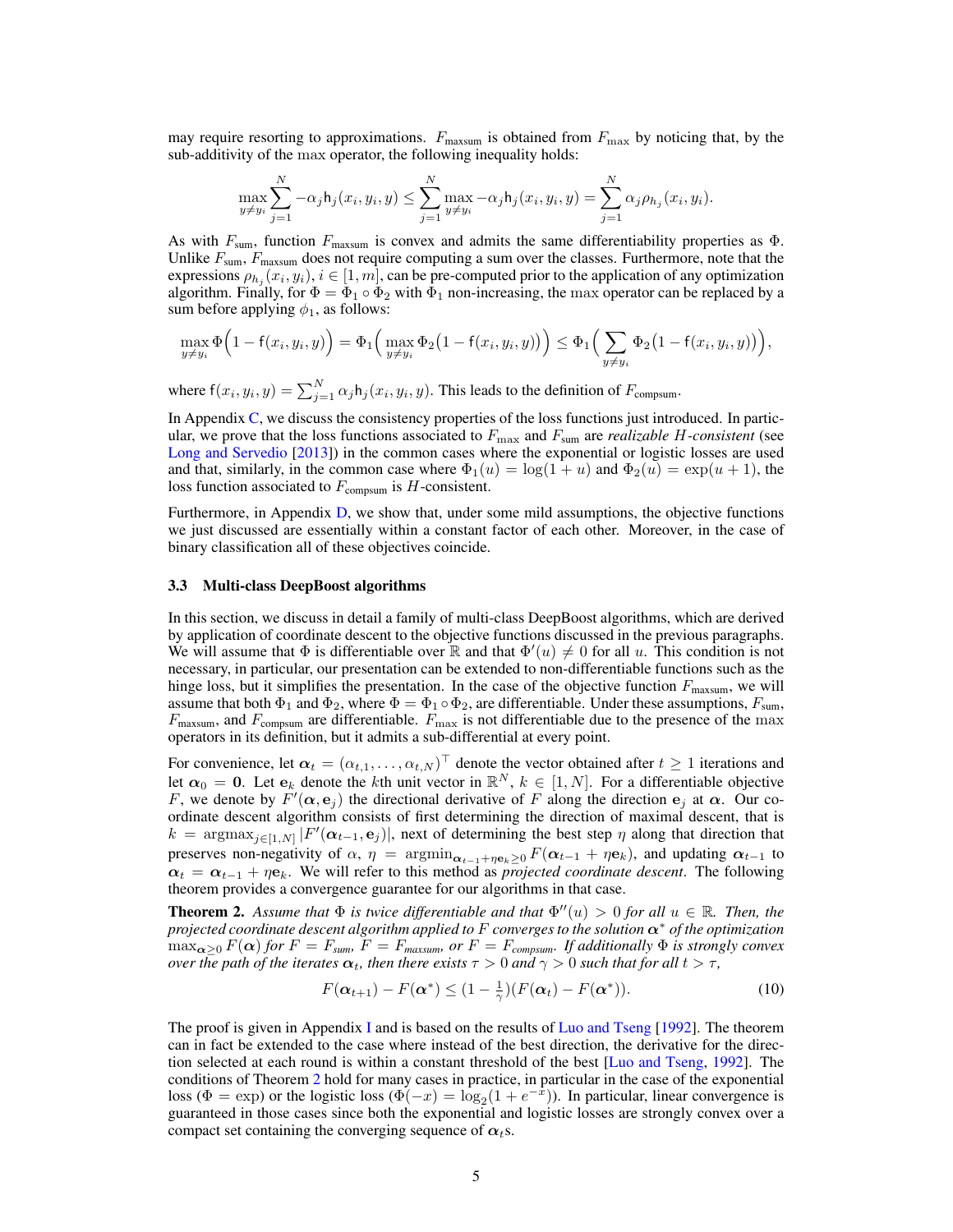may require resorting to approximations.  $F_{\text{maxsum}}$  is obtained from  $F_{\text{max}}$  by noticing that, by the sub-additivity of the max operator, the following inequality holds:

$$
\max_{y \neq y_i} \sum_{j=1}^N -\alpha_j \mathsf{h}_j(x_i, y_i, y) \leq \sum_{j=1}^N \max_{y \neq y_i} -\alpha_j \mathsf{h}_j(x_i, y_i, y) = \sum_{j=1}^N \alpha_j \rho_{h_j}(x_i, y_i).
$$

As with  $F_{\text{sum}}$ , function  $F_{\text{maxsum}}$  is convex and admits the same differentiability properties as  $\Phi$ . Unlike  $F_{\text{sum}}$ ,  $F_{\text{maxsum}}$  does not require computing a sum over the classes. Furthermore, note that the expressions  $\rho_{h_j}(x_i, y_i), i \in [1, m]$ , can be pre-computed prior to the application of any optimization algorithm. Finally, for  $\Phi = \Phi_1 \circ \Phi_2$  with  $\Phi_1$  non-increasing, the max operator can be replaced by a sum before applying  $\phi_1$ , as follows:

$$
\max_{y \neq y_i} \Phi\Big(1 - f(x_i, y_i, y)\Big) = \Phi_1\Big(\max_{y \neq y_i} \Phi_2\big(1 - f(x_i, y_i, y)\big)\Big) \leq \Phi_1\Big(\sum_{y \neq y_i} \Phi_2\big(1 - f(x_i, y_i, y)\big)\Big),
$$

where  $f(x_i, y_i, y) = \sum_{j=1}^{N} \alpha_j h_j(x_i, y_i, y)$ . This leads to the definition of  $F_{\text{compsum}}$ .

In Appendix [C,](#page--1-2) we discuss the consistency properties of the loss functions just introduced. In particular, we prove that the loss functions associated to  $F_{\text{max}}$  and  $F_{\text{sum}}$  are *realizable* H-consistent (see [Long and Servedio](#page-8-13) [\[2013\]](#page-8-13)) in the common cases where the exponential or logistic losses are used and that, similarly, in the common case where  $\Phi_1(u) = \log(1+u)$  and  $\Phi_2(u) = \exp(u+1)$ , the loss function associated to  $F_{\text{compsum}}$  is H-consistent.

Furthermore, in Appendix [D,](#page--1-3) we show that, under some mild assumptions, the objective functions we just discussed are essentially within a constant factor of each other. Moreover, in the case of binary classification all of these objectives coincide.

#### 3.3 Multi-class DeepBoost algorithms

In this section, we discuss in detail a family of multi-class DeepBoost algorithms, which are derived by application of coordinate descent to the objective functions discussed in the previous paragraphs. We will assume that  $\Phi$  is differentiable over  $\mathbb R$  and that  $\Phi'(u) \neq 0$  for all u. This condition is not necessary, in particular, our presentation can be extended to non-differentiable functions such as the hinge loss, but it simplifies the presentation. In the case of the objective function  $F_{\text{maxsum}}$ , we will assume that both  $\Phi_1$  and  $\Phi_2$ , where  $\Phi = \Phi_1 \circ \Phi_2$ , are differentiable. Under these assumptions,  $F_{\text{sum}}$ ,  $F_{\text{maxsum}}$ , and  $F_{\text{comsum}}$  are differentiable.  $F_{\text{max}}$  is not differentiable due to the presence of the max operators in its definition, but it admits a sub-differential at every point.

For convenience, let  $\alpha_t = (\alpha_{t,1}, \dots, \alpha_{t,N})^\top$  denote the vector obtained after  $t \ge 1$  iterations and let  $\alpha_0 = 0$ . Let  $e_k$  denote the kth unit vector in  $\mathbb{R}^N$ ,  $k \in [1, N]$ . For a differentiable objective F, we denote by  $F'(\alpha, e_j)$  the directional derivative of F along the direction  $e_j$  at  $\alpha$ . Our coordinate descent algorithm consists of first determining the direction of maximal descent, that is  $k = \arg \max_{j \in [1,N]} |F'(\alpha_{t-1}, \mathbf{e}_j)|$ , next of determining the best step  $\eta$  along that direction that preserves non-negativity of  $\alpha$ ,  $\eta = \operatorname{argmin}_{\alpha_{t-1}+\eta e_k>0} F(\alpha_{t-1}+\eta e_k)$ , and updating  $\alpha_{t-1}$  to  $\alpha_t = \alpha_{t-1} + \eta \mathbf{e}_k$ . We will refer to this method as *projected coordinate descent*. The following theorem provides a convergence guarantee for our algorithms in that case.

<span id="page-4-0"></span>**Theorem 2.** Assume that  $\Phi$  is twice differentiable and that  $\Phi''(u) > 0$  for all  $u \in \mathbb{R}$ . Then, the *projected coordinate descent algorithm applied to* F *converges to the solution* α<sup>∗</sup> *of the optimization*  $\max_{\alpha>0} F(\alpha)$  *for*  $F = F_{sum}$ ,  $F = F_{maxsum}$ , or  $F = F_{compsum}$ . If additionally  $\Phi$  is strongly convex *over the path of the iterates*  $\alpha_t$ *, then there exists*  $\tau > 0$  *and*  $\gamma > 0$  *such that for all*  $t > \tau$ *,* 

$$
F(\boldsymbol{\alpha}_{t+1}) - F(\boldsymbol{\alpha}^*) \le (1 - \frac{1}{\gamma})(F(\boldsymbol{\alpha}_t) - F(\boldsymbol{\alpha}^*)). \tag{10}
$$

The proof is given in Appendix [I](#page--1-4) and is based on the results of [Luo and Tseng](#page-8-14)  $[1992]$ . The theorem can in fact be extended to the case where instead of the best direction, the derivative for the direction selected at each round is within a constant threshold of the best [\[Luo and Tseng,](#page-8-14) [1992\]](#page-8-14). The conditions of Theorem [2](#page-4-0) hold for many cases in practice, in particular in the case of the exponential loss ( $\Phi = \exp$ ) or the logistic loss ( $\Phi(-x) = \log_2(1 + e^{-x})$ ). In particular, linear convergence is guaranteed in those cases since both the exponential and logistic losses are strongly convex over a compact set containing the converging sequence of  $\alpha_t$ s.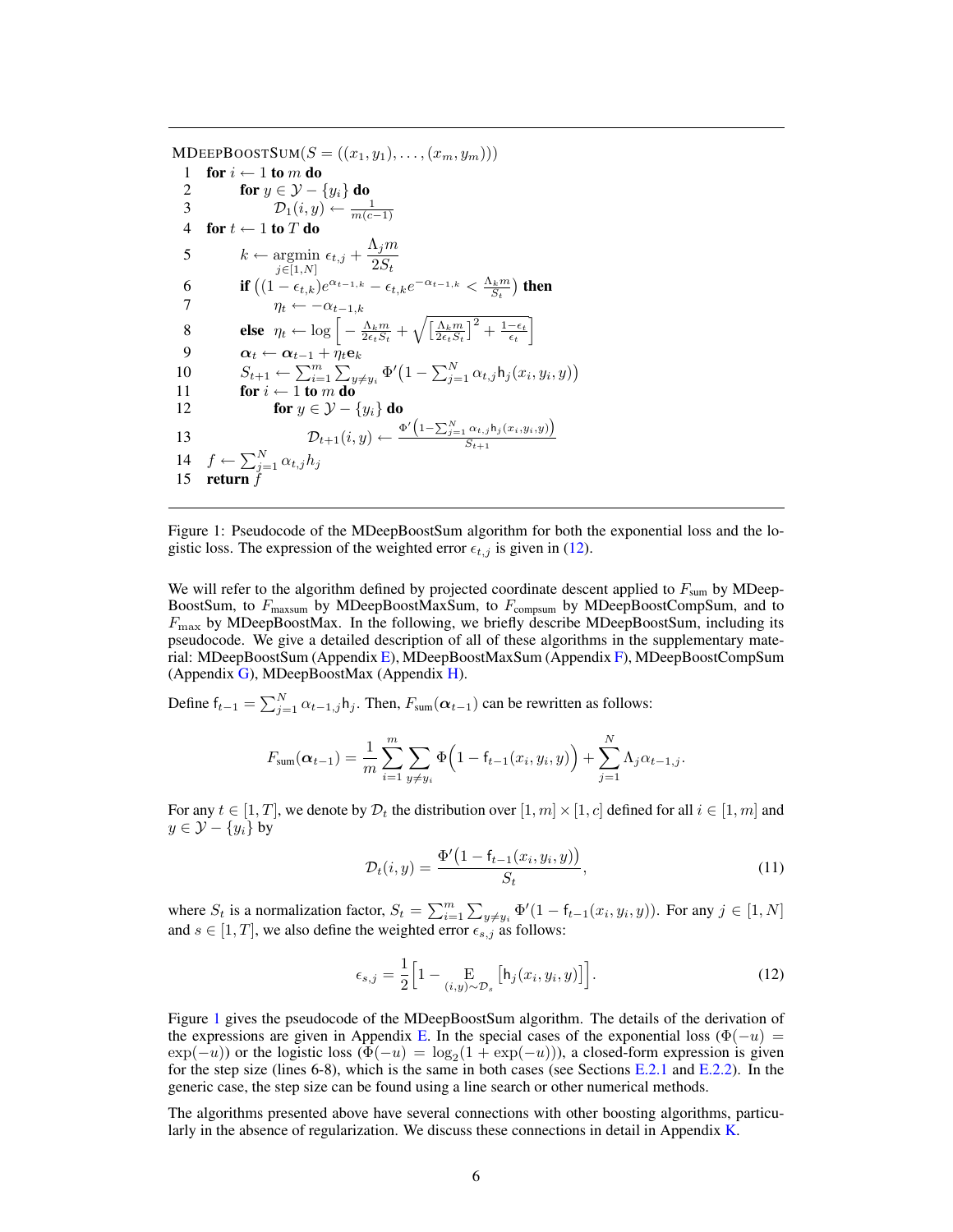$\text{MDEEPBoostSum}(S = ((x_1, y_1), \ldots, (x_m, y_m)))$ 1 for  $i \leftarrow 1$  to m do<br>2 for  $y \in \mathcal{V}$ 2 for  $y \in \mathcal{Y} - \{y_i\}$  do 3<br>4 for  $t \leftarrow 1$  to T do<br>4 5  $k \leftarrow \operatornamewithlimits{argmin}_{j \in [1,N]} \epsilon_{t,j} + \frac{\Lambda_j m}{2S_t}$  $2S_t$ 6 if  $((1 - \epsilon_{t,k})e^{\alpha_{t-1,k}} - \epsilon_{t,k}e^{-\alpha_{t-1,k}} < \frac{\Lambda_k m}{S_t})$  then 7  $\eta_t \leftarrow -\alpha_{t-1,k}$ 8 **else**  $\eta_t \leftarrow \log \left[ -\frac{\Lambda_k m}{2\epsilon_t S_t} + \sqrt{\left[ \frac{\Lambda_k m}{2\epsilon_t S_t} \right]^2 + \frac{1-\epsilon_t}{\epsilon_t}} \right]$ 9  $\boldsymbol{\alpha}_t \leftarrow \boldsymbol{\alpha}_{t-1} + \bar{\eta}_t \mathbf{e}_k$ 10  $S_{t+1} \leftarrow \sum_{i=1}^{m} \sum_{y \neq y_i} \Phi'(1 - \sum_{j=1}^{N} \alpha_{t,j} \mathsf{h}_j(x_i, y_i, y))$ 11 for  $i \leftarrow 1$  to m do 12 **for**  $y \in \mathcal{Y} - \{y_i\}$  do 13  $\mathcal{D}_{t+1}(i, y) \leftarrow \frac{\Phi' \left(1 - \sum_{j=1}^{N} \alpha_{t,j} \mathbf{h}_j(x_i, y_i, y)\right)}{S_{t+1}}$  $S_{t+1}$ 14  $f \leftarrow \sum_{j=1}^{N} \alpha_{t,j} h_j$ 15 return  $\check{f}$ 

<span id="page-5-1"></span>Figure 1: Pseudocode of the MDeepBoostSum algorithm for both the exponential loss and the logistic loss. The expression of the weighted error  $\epsilon_{t,j}$  is given in [\(12\)](#page-5-0).

We will refer to the algorithm defined by projected coordinate descent applied to  $F_{\text{sum}}$  by MDeep-BoostSum, to  $F_{\text{maxsum}}$  by MDeepBoostMaxSum, to  $F_{\text{compsum}}$  by MDeepBoostCompSum, and to  $F_{\text{max}}$  by MDeepBoostMax. In the following, we briefly describe MDeepBoostSum, including its pseudocode. We give a detailed description of all of these algorithms in the supplementary material: MDeepBoostSum (Appendix [E\)](#page--1-5), MDeepBoostMaxSum (Appendix [F\)](#page--1-6), MDeepBoostCompSum (Appendix [G\)](#page--1-7), MDeepBoostMax (Appendix [H\)](#page--1-2).

Define  $f_{t-1} = \sum_{j=1}^{N} \alpha_{t-1,j} h_j$ . Then,  $F_{sum}(\alpha_{t-1})$  can be rewritten as follows:

$$
F_{\text{sum}}(\alpha_{t-1}) = \frac{1}{m} \sum_{i=1}^{m} \sum_{y \neq y_i} \Phi\Big(1 - f_{t-1}(x_i, y_i, y)\Big) + \sum_{j=1}^{N} \Lambda_j \alpha_{t-1,j}.
$$

For any  $t \in [1, T]$ , we denote by  $\mathcal{D}_t$  the distribution over  $[1, m] \times [1, c]$  defined for all  $i \in [1, m]$  and  $y \in \mathcal{Y} - \{y_i\}$  by

<span id="page-5-0"></span>
$$
\mathcal{D}_t(i, y) = \frac{\Phi'(1 - f_{t-1}(x_i, y_i, y))}{S_t},\tag{11}
$$

where  $S_t$  is a normalization factor,  $S_t = \sum_{i=1}^m \sum_{y \neq y_i} \Phi'(1 - f_{t-1}(x_i, y_i, y))$ . For any  $j \in [1, N]$ and  $s \in [1, T]$ , we also define the weighted error  $\epsilon_{s,j}$  as follows:

$$
\epsilon_{s,j} = \frac{1}{2} \Big[ 1 - \underset{(i,y) \sim \mathcal{D}_s}{\mathbb{E}} \Big[ \mathsf{h}_j(x_i, y_i, y) \Big] \Big]. \tag{12}
$$

Figure [1](#page-5-1) gives the pseudocode of the MDeepBoostSum algorithm. The details of the derivation of the expressions are given in Appendix [E.](#page--1-5) In the special cases of the exponential loss ( $\Phi(-u)$ ) =  $\exp(-u)$ ) or the logistic loss  $(\Phi(-u) = \log_2(1 + \exp(-u))$ , a closed-form expression is given for the step size (lines 6-8), which is the same in both cases (see Sections [E.2.1](#page--1-8) and [E.2.2\)](#page--1-9). In the generic case, the step size can be found using a line search or other numerical methods.

The algorithms presented above have several connections with other boosting algorithms, particularly in the absence of regularization. We discuss these connections in detail in Appendix [K.](#page--1-10)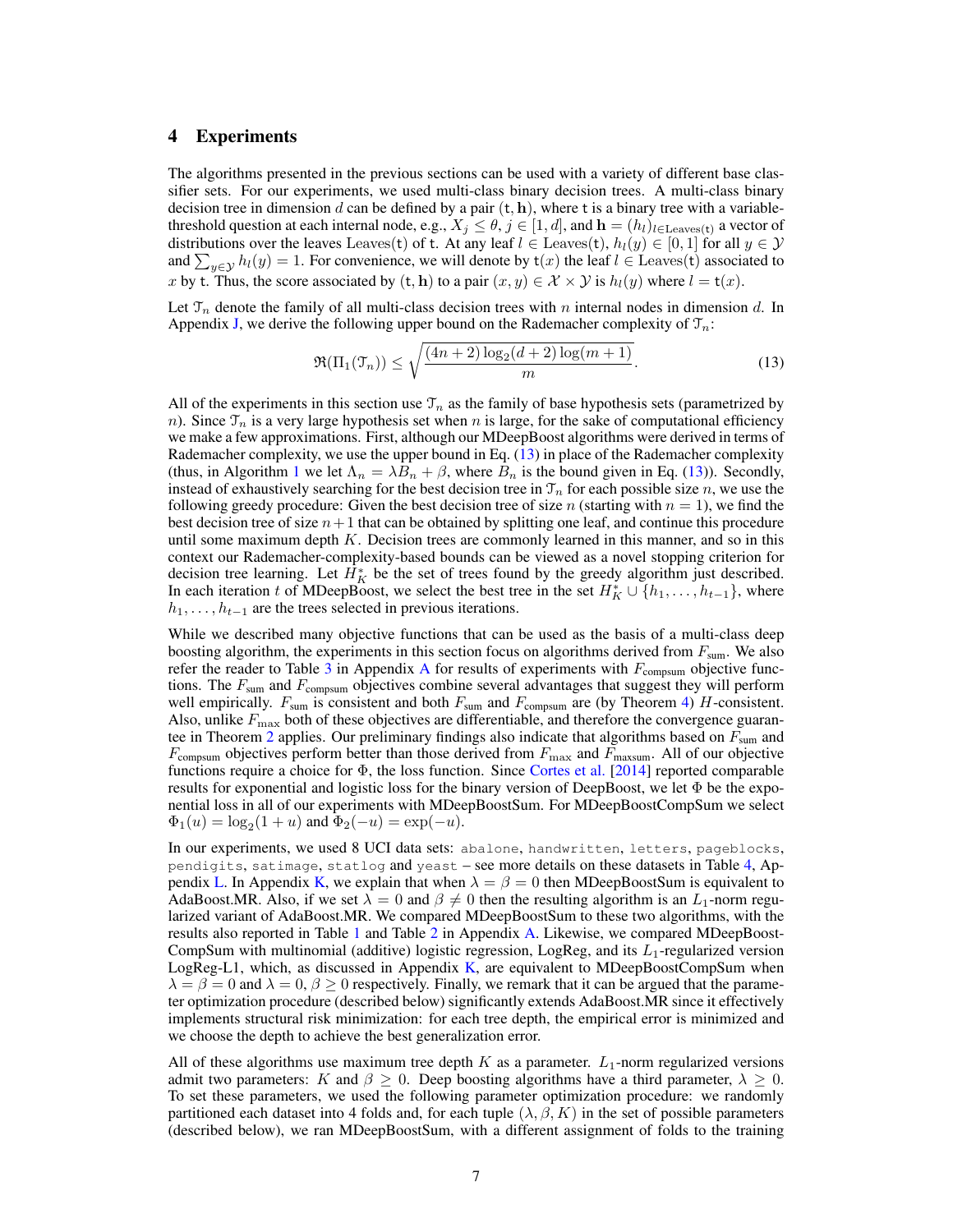## <span id="page-6-0"></span>4 Experiments

The algorithms presented in the previous sections can be used with a variety of different base classifier sets. For our experiments, we used multi-class binary decision trees. A multi-class binary decision tree in dimension d can be defined by a pair  $(t, h)$ , where t is a binary tree with a variablethreshold question at each internal node, e.g.,  $X_j \le \theta$ ,  $j \in [1, d]$ , and  $\mathbf{h} = (h_i)_{i \in \text{Leaves}(\mathbf{t})}$  a vector of distributions over the leaves Leaves(t) of t. At any leaf  $l \in$  Leaves(t),  $h_l(y) \in [0,1]$  for all  $y \in \mathcal{Y}$ and  $\sum_{y \in \mathcal{Y}} h_l(y) = 1$ . For convenience, we will denote by  $\mathsf{t}(x)$  the leaf  $l \in \text{Leaves}(\mathsf{t})$  associated to x by t. Thus, the score associated by  $(t, h)$  to a pair  $(x, y) \in \mathcal{X} \times \mathcal{Y}$  is  $h_l(y)$  where  $l = t(x)$ .

Let  $\mathcal{T}_n$  denote the family of all multi-class decision trees with n internal nodes in dimension d. In Appendix [J,](#page--1-2) we derive the following upper bound on the Rademacher complexity of  $\mathcal{T}_n$ :

<span id="page-6-1"></span>
$$
\Re(\Pi_1(\mathcal{T}_n)) \le \sqrt{\frac{(4n+2)\log_2(d+2)\log(m+1)}{m}}.\tag{13}
$$

All of the experiments in this section use  $\mathcal{T}_n$  as the family of base hypothesis sets (parametrized by n). Since  $\mathcal{T}_n$  is a very large hypothesis set when n is large, for the sake of computational efficiency we make a few approximations. First, although our MDeepBoost algorithms were derived in terms of Rademacher complexity, we use the upper bound in Eq. [\(13\)](#page-6-1) in place of the Rademacher complexity (thus, in Algorithm [1](#page-5-1) we let  $\Lambda_n = \lambda B_n + \beta$ , where  $B_n$  is the bound given in Eq. [\(13\)](#page-6-1)). Secondly, instead of exhaustively searching for the best decision tree in  $\mathcal{T}_n$  for each possible size n, we use the following greedy procedure: Given the best decision tree of size n (starting with  $n = 1$ ), we find the best decision tree of size  $n+1$  that can be obtained by splitting one leaf, and continue this procedure until some maximum depth  $K$ . Decision trees are commonly learned in this manner, and so in this context our Rademacher-complexity-based bounds can be viewed as a novel stopping criterion for decision tree learning. Let  $H_K^*$  be the set of trees found by the greedy algorithm just described. In each iteration t of MDeepBoost, we select the best tree in the set  $H_K^* \cup \{h_1, \ldots, h_{t-1}\}$ , where  $h_1, \ldots, h_{t-1}$  are the trees selected in previous iterations.

While we described many objective functions that can be used as the basis of a multi-class deep boosting algorithm, the experiments in this section focus on algorithms derived from  $F_{\text{sum}}$ . We also refer the reader to Table [3](#page--1-11) in [A](#page--1-12)ppendix A for results of experiments with  $F_{\text{compsum}}$  objective functions. The  $F_{\text{sum}}$  and  $F_{\text{comparison}}$  objectives combine several advantages that suggest they will perform well empirically.  $F_{\text{sum}}$  is consistent and both  $F_{\text{sum}}$  and  $F_{\text{compsum}}$  are (by Theorem [4\)](#page--1-13) H-consistent. Also, unlike  $F_{\text{max}}$  both of these objectives are differentiable, and therefore the convergence guaran-tee in Theorem [2](#page-4-0) applies. Our preliminary findings also indicate that algorithms based on  $F_{\text{sum}}$  and  $F_{\text{compsum}}$  objectives perform better than those derived from  $F_{\text{max}}$  and  $F_{\text{maxsum}}$ . All of our objective functions require a choice for  $\Phi$ , the loss function. Since [Cortes et al.](#page-8-9) [\[2014\]](#page-8-9) reported comparable results for exponential and logistic loss for the binary version of DeepBoost, we let  $\Phi$  be the exponential loss in all of our experiments with MDeepBoostSum. For MDeepBoostCompSum we select  $\Phi_1(u) = \log_2(1+u)$  and  $\Phi_2(-u) = \exp(-u)$ .

In our experiments, we used 8 UCI data sets: abalone, handwritten, letters, pageblocks, pendigits, satimage, statlog and yeast – see more details on these datasets in Table [4,](#page--1-14) Ap-pendix [L.](#page--1-15) In Appendix [K,](#page--1-10) we explain that when  $\lambda = \beta = 0$  then MDeepBoostSum is equivalent to AdaBoost.MR. Also, if we set  $\lambda = 0$  and  $\beta \neq 0$  then the resulting algorithm is an  $L_1$ -norm regularized variant of AdaBoost.MR. We compared MDeepBoostSum to these two algorithms, with the results also reported in Table [1](#page-7-0) and Table [2](#page--1-11) in Appendix [A.](#page--1-12) Likewise, we compared MDeepBoost-CompSum with multinomial (additive) logistic regression, LogReg, and its  $L_1$ -regularized version LogReg-L1, which, as discussed in Appendix [K,](#page--1-10) are equivalent to MDeepBoostCompSum when  $\lambda = \beta = 0$  and  $\lambda = 0$ ,  $\beta \ge 0$  respectively. Finally, we remark that it can be argued that the parameter optimization procedure (described below) significantly extends AdaBoost.MR since it effectively implements structural risk minimization: for each tree depth, the empirical error is minimized and we choose the depth to achieve the best generalization error.

All of these algorithms use maximum tree depth  $K$  as a parameter.  $L_1$ -norm regularized versions admit two parameters: K and  $\beta \geq 0$ . Deep boosting algorithms have a third parameter,  $\lambda \geq 0$ . To set these parameters, we used the following parameter optimization procedure: we randomly partitioned each dataset into 4 folds and, for each tuple  $(\lambda, \beta, K)$  in the set of possible parameters (described below), we ran MDeepBoostSum, with a different assignment of folds to the training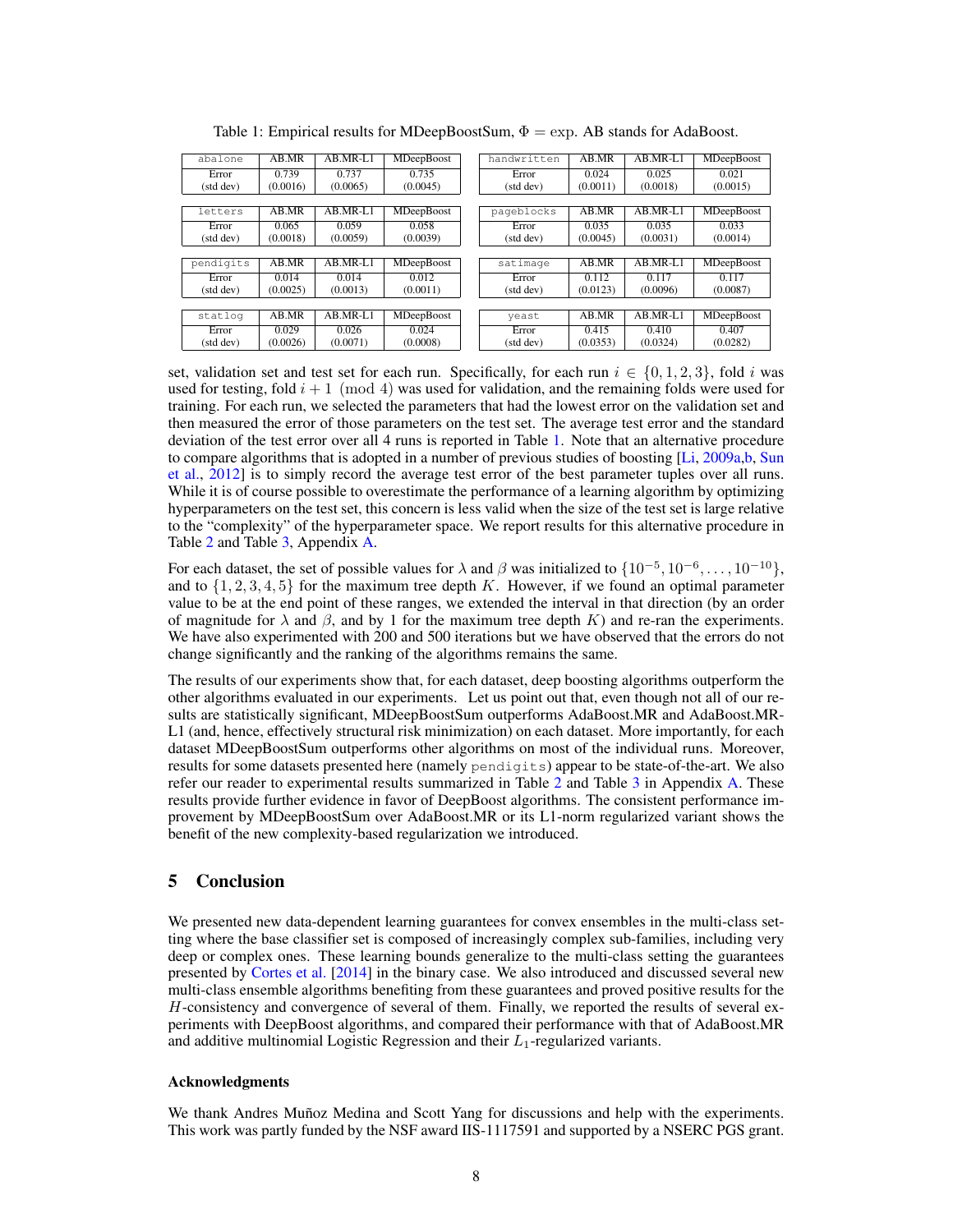<span id="page-7-0"></span>

| abalone   | AB.MR    | $AB.MR-I.1$ | MDeepBoost        | handwritten | AB.MR    | $AB.MR-I.1$ | MDeepBoost        |
|-----------|----------|-------------|-------------------|-------------|----------|-------------|-------------------|
| Error     | 0.739    | 0.737       | 0.735             | Error       | 0.024    | 0.025       | 0.021             |
| (std dev) | (0.0016) | (0.0065)    | (0.0045)          | (std dev)   | (0.0011) | (0.0018)    | (0.0015)          |
|           |          |             |                   |             |          |             |                   |
| letters   | AB.MR    | $AB.MR-L1$  | <b>MDeepBoost</b> | pageblocks  | AB.MR    | $AB.MR-L1$  | MDeepBoost        |
| Error     | 0.065    | 0.059       | 0.058             | Error       | 0.035    | 0.035       | 0.033             |
| (std dev) | (0.0018) | (0.0059)    | (0.0039)          | (std dev)   | (0.0045) | (0.0031)    | (0.0014)          |
|           |          |             |                   |             |          |             |                   |
| pendigits | AB.MR    | AB.MR-L1    | <b>MDeepBoost</b> | satimage    | AB.MR    | $AB.MR-L1$  | MDeepBoost        |
| Error     | 0.014    | 0.014       | 0.012             | Error       | 0.112    | 0.117       | 0.117             |
| (std dev) | (0.0025) | (0.0013)    | (0.0011)          | (std dev)   | (0.0123) | (0.0096)    | (0.0087)          |
|           |          |             |                   |             |          |             |                   |
| statlog   | AB.MR    | AB.MR-L1    | <b>MDeepBoost</b> | yeast       | AB.MR    | AB.MR-L1    | <b>MDeepBoost</b> |
| Error     | 0.029    | 0.026       | 0.024             | Error       | 0.415    | 0.410       | 0.407             |
| (std dev) | (0.0026) | (0.0071)    | (0.0008)          | (std dev)   | (0.0353) | (0.0324)    | (0.0282)          |

Table 1: Empirical results for MDeepBoostSum,  $\Phi = \exp$ . AB stands for AdaBoost.

set, validation set and test set for each run. Specifically, for each run  $i \in \{0, 1, 2, 3\}$ , fold i was used for testing, fold  $i + 1 \pmod{4}$  was used for validation, and the remaining folds were used for training. For each run, we selected the parameters that had the lowest error on the validation set and then measured the error of those parameters on the test set. The average test error and the standard deviation of the test error over all 4 runs is reported in Table [1.](#page-7-0) Note that an alternative procedure to compare algorithms that is adopted in a number of previous studies of boosting [\[Li,](#page-8-15) [2009a,](#page-8-15)[b,](#page-8-16) [Sun](#page-8-17) [et al.,](#page-8-17) [2012\]](#page-8-17) is to simply record the average test error of the best parameter tuples over all runs. While it is of course possible to overestimate the performance of a learning algorithm by optimizing hyperparameters on the test set, this concern is less valid when the size of the test set is large relative to the "complexity" of the hyperparameter space. We report results for this alternative procedure in Table [2](#page--1-11) and Table [3,](#page--1-11) Appendix [A.](#page--1-12)

For each dataset, the set of possible values for  $\lambda$  and  $\beta$  was initialized to  $\{10^{-5}, 10^{-6}, \dots, 10^{-10}\}\,$ and to  $\{1, 2, 3, 4, 5\}$  for the maximum tree depth K. However, if we found an optimal parameter value to be at the end point of these ranges, we extended the interval in that direction (by an order of magnitude for  $\lambda$  and  $\beta$ , and by 1 for the maximum tree depth K) and re-ran the experiments. We have also experimented with 200 and 500 iterations but we have observed that the errors do not change significantly and the ranking of the algorithms remains the same.

The results of our experiments show that, for each dataset, deep boosting algorithms outperform the other algorithms evaluated in our experiments. Let us point out that, even though not all of our results are statistically significant, MDeepBoostSum outperforms AdaBoost.MR and AdaBoost.MR-L1 (and, hence, effectively structural risk minimization) on each dataset. More importantly, for each dataset MDeepBoostSum outperforms other algorithms on most of the individual runs. Moreover, results for some datasets presented here (namely pendigits) appear to be state-of-the-art. We also refer our reader to experimental results summarized in Table [2](#page--1-11) and Table [3](#page--1-11) in Appendix [A.](#page--1-12) These results provide further evidence in favor of DeepBoost algorithms. The consistent performance improvement by MDeepBoostSum over AdaBoost.MR or its L1-norm regularized variant shows the benefit of the new complexity-based regularization we introduced.

# 5 Conclusion

We presented new data-dependent learning guarantees for convex ensembles in the multi-class setting where the base classifier set is composed of increasingly complex sub-families, including very deep or complex ones. These learning bounds generalize to the multi-class setting the guarantees presented by [Cortes et al.](#page-8-9) [\[2014\]](#page-8-9) in the binary case. We also introduced and discussed several new multi-class ensemble algorithms benefiting from these guarantees and proved positive results for the H-consistency and convergence of several of them. Finally, we reported the results of several experiments with DeepBoost algorithms, and compared their performance with that of AdaBoost.MR and additive multinomial Logistic Regression and their  $L_1$ -regularized variants.

## Acknowledgments

We thank Andres Muñoz Medina and Scott Yang for discussions and help with the experiments. This work was partly funded by the NSF award IIS-1117591 and supported by a NSERC PGS grant.